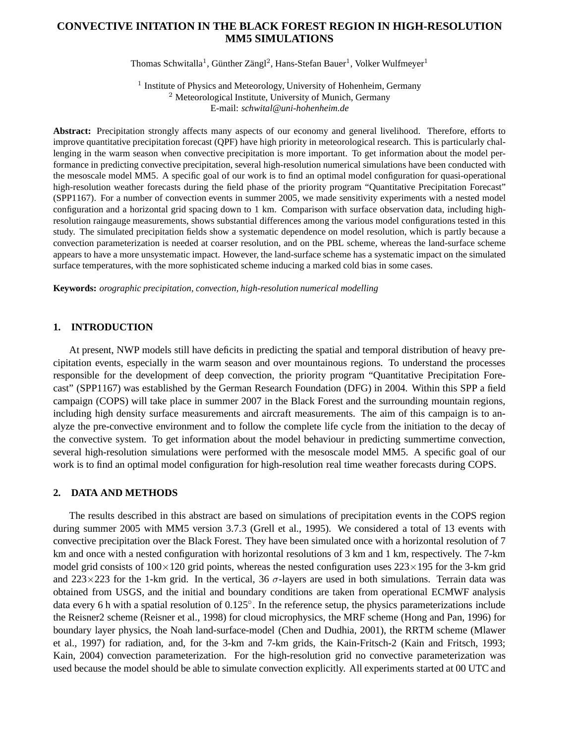# **CONVECTIVE INITATION IN THE BLACK FOREST REGION IN HIGH-RESOLUTION MM5 SIMULATIONS**

Thomas Schwitalla<sup>1</sup>, Günther Zängl<sup>2</sup>, Hans-Stefan Bauer<sup>1</sup>, Volker Wulfmeyer<sup>1</sup>

<sup>1</sup> Institute of Physics and Meteorology, University of Hohenheim, Germany <sup>2</sup> Meteorological Institute, University of Munich, Germany E-mail: *schwital@uni-hohenheim.de*

**Abstract:** Precipitation strongly affects many aspects of our economy and general livelihood. Therefore, efforts to improve quantitative precipitation forecast (QPF) have high priority in meteorological research. This is particularly challenging in the warm season when convective precipitation is more important. To get information about the model performance in predicting convective precipitation, several high-resolution numerical simulations have been conducted with the mesoscale model MM5. A specific goal of our work is to find an optimal model configuration for quasi-operational high-resolution weather forecasts during the field phase of the priority program "Quantitative Precipitation Forecast" (SPP1167). For a number of convection events in summer 2005, we made sensitivity experiments with a nested model configuration and a horizontal grid spacing down to 1 km. Comparison with surface observation data, including highresolution raingauge measurements, shows substantial differences among the various model configurations tested in this study. The simulated precipitation fields show a systematic dependence on model resolution, which is partly because a convection parameterization is needed at coarser resolution, and on the PBL scheme, whereas the land-surface scheme appears to have a more unsystematic impact. However, the land-surface scheme has a systematic impact on the simulated surface temperatures, with the more sophisticated scheme inducing a marked cold bias in some cases.

**Keywords:** *orographic precipitation, convection, high-resolution numerical modelling*

### **1. INTRODUCTION**

At present, NWP models still have deficits in predicting the spatial and temporal distribution of heavy precipitation events, especially in the warm season and over mountainous regions. To understand the processes responsible for the development of deep convection, the priority program "Quantitative Precipitation Forecast" (SPP1167) was established by the German Research Foundation (DFG) in 2004. Within this SPP a field campaign (COPS) will take place in summer 2007 in the Black Forest and the surrounding mountain regions, including high density surface measurements and aircraft measurements. The aim of this campaign is to analyze the pre-convective environment and to follow the complete life cycle from the initiation to the decay of the convective system. To get information about the model behaviour in predicting summertime convection, several high-resolution simulations were performed with the mesoscale model MM5. A specific goal of our work is to find an optimal model configuration for high-resolution real time weather forecasts during COPS.

## **2. DATA AND METHODS**

The results described in this abstract are based on simulations of precipitation events in the COPS region during summer 2005 with MM5 version 3.7.3 (Grell et al., 1995). We considered a total of 13 events with convective precipitation over the Black Forest. They have been simulated once with a horizontal resolution of 7 km and once with a nested configuration with horizontal resolutions of 3 km and 1 km, respectively. The 7-km model grid consists of  $100\times120$  grid points, whereas the nested configuration uses  $223\times195$  for the 3-km grid and  $223 \times 223$  for the 1-km grid. In the vertical, 36  $\sigma$ -layers are used in both simulations. Terrain data was obtained from USGS, and the initial and boundary conditions are taken from operational ECMWF analysis data every 6 h with a spatial resolution of 0.125◦ . In the reference setup, the physics parameterizations include the Reisner2 scheme (Reisner et al., 1998) for cloud microphysics, the MRF scheme (Hong and Pan, 1996) for boundary layer physics, the Noah land-surface-model (Chen and Dudhia, 2001), the RRTM scheme (Mlawer et al., 1997) for radiation, and, for the 3-km and 7-km grids, the Kain-Fritsch-2 (Kain and Fritsch, 1993; Kain, 2004) convection parameterization. For the high-resolution grid no convective parameterization was used because the model should be able to simulate convection explicitly. All experiments started at 00 UTC and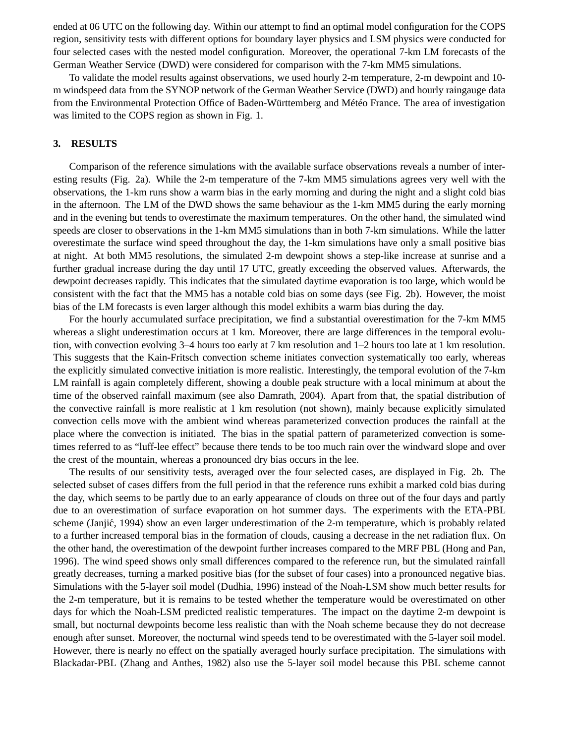ended at 06 UTC on the following day. Within our attempt to find an optimal model configuration for the COPS region, sensitivity tests with different options for boundary layer physics and LSM physics were conducted for four selected cases with the nested model configuration. Moreover, the operational 7-km LM forecasts of the German Weather Service (DWD) were considered for comparison with the 7-km MM5 simulations.

To validate the model results against observations, we used hourly 2-m temperature, 2-m dewpoint and 10 m windspeed data from the SYNOP network of the German Weather Service (DWD) and hourly raingauge data from the Environmental Protection Office of Baden-Württemberg and Météo France. The area of investigation was limited to the COPS region as shown in Fig. 1.

## **3. RESULTS**

Comparison of the reference simulations with the available surface observations reveals a number of interesting results (Fig. 2a). While the 2-m temperature of the 7-km MM5 simulations agrees very well with the observations, the 1-km runs show a warm bias in the early morning and during the night and a slight cold bias in the afternoon. The LM of the DWD shows the same behaviour as the 1-km MM5 during the early morning and in the evening but tends to overestimate the maximum temperatures. On the other hand, the simulated wind speeds are closer to observations in the 1-km MM5 simulations than in both 7-km simulations. While the latter overestimate the surface wind speed throughout the day, the 1-km simulations have only a small positive bias at night. At both MM5 resolutions, the simulated 2-m dewpoint shows a step-like increase at sunrise and a further gradual increase during the day until 17 UTC, greatly exceeding the observed values. Afterwards, the dewpoint decreases rapidly. This indicates that the simulated daytime evaporation is too large, which would be consistent with the fact that the MM5 has a notable cold bias on some days (see Fig. 2b). However, the moist bias of the LM forecasts is even larger although this model exhibits a warm bias during the day.

For the hourly accumulated surface precipitation, we find a substantial overestimation for the 7-km MM5 whereas a slight underestimation occurs at 1 km. Moreover, there are large differences in the temporal evolution, with convection evolving 3–4 hours too early at 7 km resolution and 1–2 hours too late at 1 km resolution. This suggests that the Kain-Fritsch convection scheme initiates convection systematically too early, whereas the explicitly simulated convective initiation is more realistic. Interestingly, the temporal evolution of the 7-km LM rainfall is again completely different, showing a double peak structure with a local minimum at about the time of the observed rainfall maximum (see also Damrath, 2004). Apart from that, the spatial distribution of the convective rainfall is more realistic at 1 km resolution (not shown), mainly because explicitly simulated convection cells move with the ambient wind whereas parameterized convection produces the rainfall at the place where the convection is initiated. The bias in the spatial pattern of parameterized convection is sometimes referred to as "luff-lee effect" because there tends to be too much rain over the windward slope and over the crest of the mountain, whereas a pronounced dry bias occurs in the lee.

The results of our sensitivity tests, averaged over the four selected cases, are displayed in Fig. 2b. The selected subset of cases differs from the full period in that the reference runs exhibit a marked cold bias during the day, which seems to be partly due to an early appearance of clouds on three out of the four days and partly due to an overestimation of surface evaporation on hot summer days. The experiments with the ETA-PBL scheme (Janjić, 1994) show an even larger underestimation of the 2-m temperature, which is probably related to a further increased temporal bias in the formation of clouds, causing a decrease in the net radiation flux. On the other hand, the overestimation of the dewpoint further increases compared to the MRF PBL (Hong and Pan, 1996). The wind speed shows only small differences compared to the reference run, but the simulated rainfall greatly decreases, turning a marked positive bias (for the subset of four cases) into a pronounced negative bias. Simulations with the 5-layer soil model (Dudhia, 1996) instead of the Noah-LSM show much better results for the 2-m temperature, but it is remains to be tested whether the temperature would be overestimated on other days for which the Noah-LSM predicted realistic temperatures. The impact on the daytime 2-m dewpoint is small, but nocturnal dewpoints become less realistic than with the Noah scheme because they do not decrease enough after sunset. Moreover, the nocturnal wind speeds tend to be overestimated with the 5-layer soil model. However, there is nearly no effect on the spatially averaged hourly surface precipitation. The simulations with Blackadar-PBL (Zhang and Anthes, 1982) also use the 5-layer soil model because this PBL scheme cannot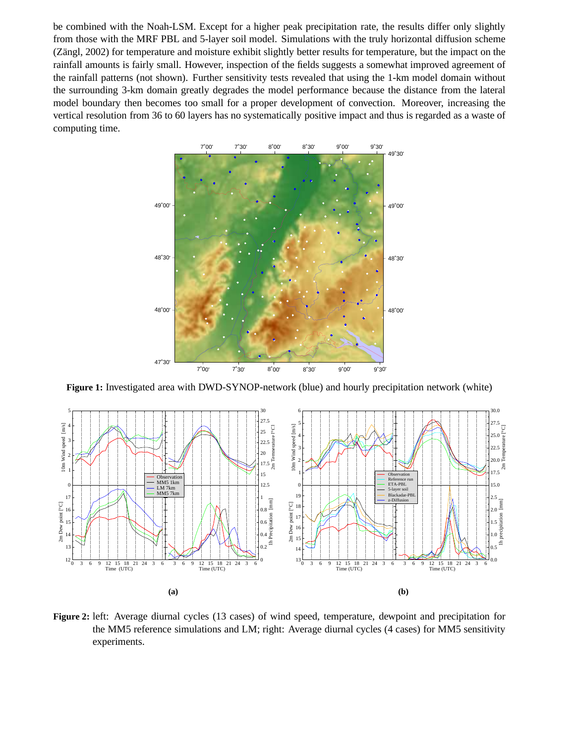be combined with the Noah-LSM. Except for a higher peak precipitation rate, the results differ only slightly from those with the MRF PBL and 5-layer soil model. Simulations with the truly horizontal diffusion scheme (Zängl, 2002) for temperature and moisture exhibit slightly better results for temperature, but the impact on the rainfall amounts is fairly small. However, inspection of the fields suggests a somewhat improved agreement of the rainfall patterns (not shown). Further sensitivity tests revealed that using the 1-km model domain without the surrounding 3-km domain greatly degrades the model performance because the distance from the lateral model boundary then becomes too small for a proper development of convection. Moreover, increasing the vertical resolution from 36 to 60 layers has no systematically positive impact and thus is regarded as a waste of computing time.



**Figure 1:** Investigated area with DWD-SYNOP-network (blue) and hourly precipitation network (white)



**Figure 2:** left: Average diurnal cycles (13 cases) of wind speed, temperature, dewpoint and precipitation for the MM5 reference simulations and LM; right: Average diurnal cycles (4 cases) for MM5 sensitivity experiments.